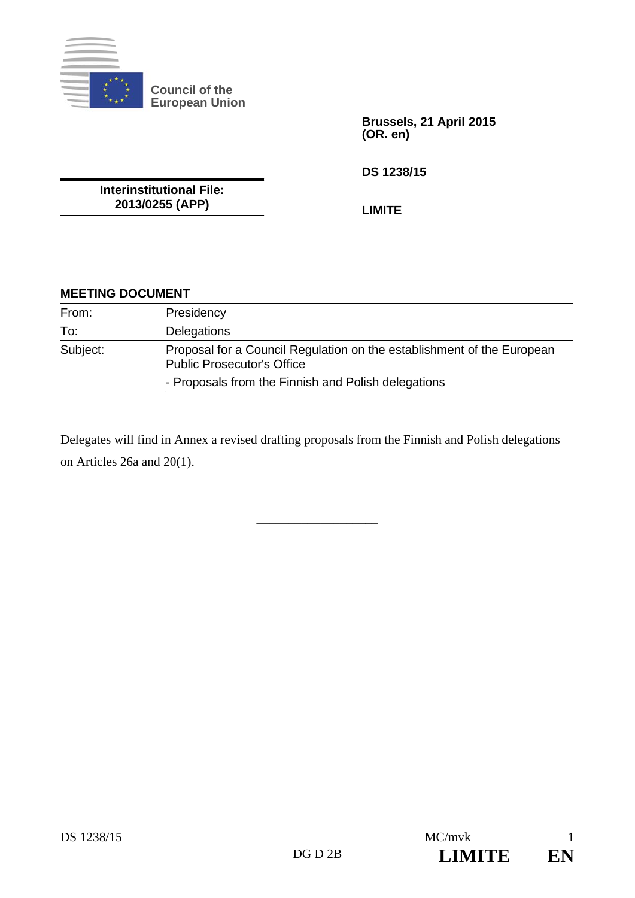

**Council of the European Union** 

> **Brussels, 21 April 2015 (OR. en)**

**DS 1238/15** 

**Interinstitutional File: 2013/0255 (APP)** 

**LIMITE** 

## **MEETING DOCUMENT**

| From:    | Presidency                                                                                                  |
|----------|-------------------------------------------------------------------------------------------------------------|
| To:      | <b>Delegations</b>                                                                                          |
| Subject: | Proposal for a Council Regulation on the establishment of the European<br><b>Public Prosecutor's Office</b> |
|          | - Proposals from the Finnish and Polish delegations                                                         |

Delegates will find in Annex a revised drafting proposals from the Finnish and Polish delegations on Articles 26a and 20(1).

\_\_\_\_\_\_\_\_\_\_\_\_\_\_\_\_\_\_\_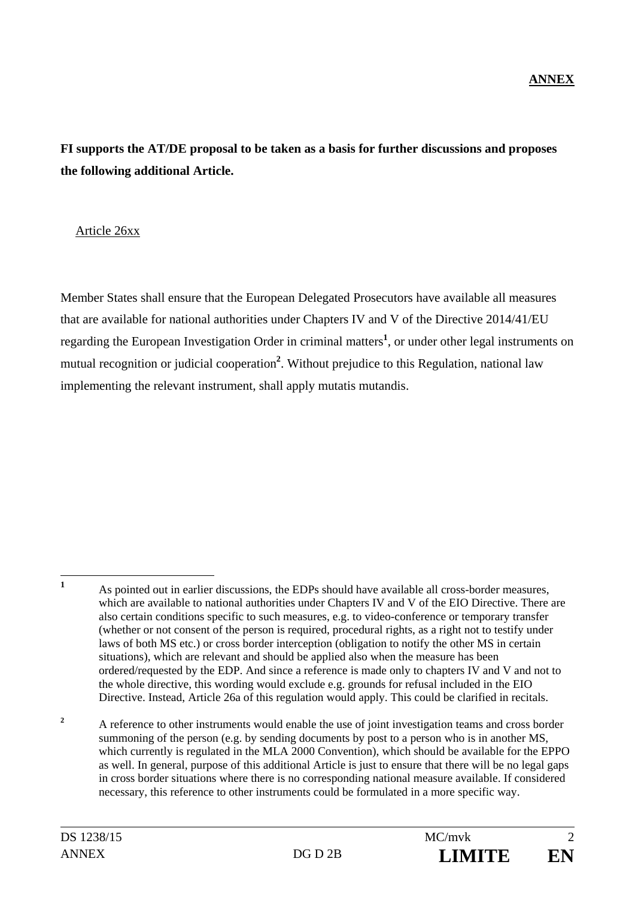# **FI supports the AT/DE proposal to be taken as a basis for further discussions and proposes the following additional Article.**

#### Article 26xx

Member States shall ensure that the European Delegated Prosecutors have available all measures that are available for national authorities under Chapters IV and V of the Directive 2014/41/EU regarding the European Investigation Order in criminal matters**<sup>1</sup>** , or under other legal instruments on mutual recognition or judicial cooperation**<sup>2</sup>** . Without prejudice to this Regulation, national law implementing the relevant instrument, shall apply mutatis mutandis.

**2** A reference to other instruments would enable the use of joint investigation teams and cross border summoning of the person (e.g. by sending documents by post to a person who is in another MS, which currently is regulated in the MLA 2000 Convention), which should be available for the EPPO as well. In general, purpose of this additional Article is just to ensure that there will be no legal gaps in cross border situations where there is no corresponding national measure available. If considered necessary, this reference to other instruments could be formulated in a more specific way.

 **1** As pointed out in earlier discussions, the EDPs should have available all cross-border measures, which are available to national authorities under Chapters IV and V of the EIO Directive. There are also certain conditions specific to such measures, e.g. to video-conference or temporary transfer (whether or not consent of the person is required, procedural rights, as a right not to testify under laws of both MS etc.) or cross border interception (obligation to notify the other MS in certain situations), which are relevant and should be applied also when the measure has been ordered/requested by the EDP. And since a reference is made only to chapters IV and V and not to the whole directive, this wording would exclude e.g. grounds for refusal included in the EIO Directive. Instead, Article 26a of this regulation would apply. This could be clarified in recitals.